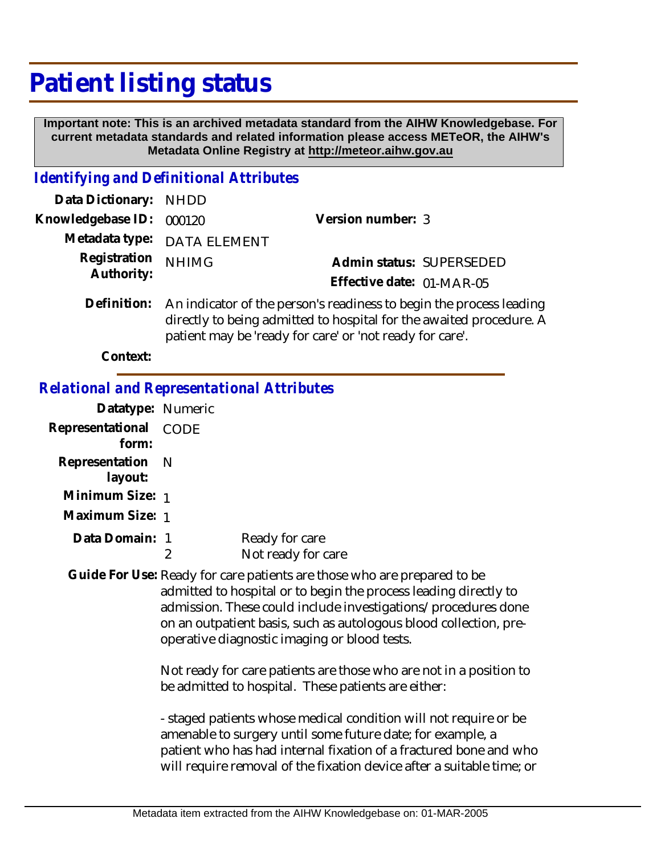## **Patient listing status**

 **Important note: This is an archived metadata standard from the AIHW Knowledgebase. For current metadata standards and related information please access METeOR, the AIHW's Metadata Online Registry at http://meteor.aihw.gov.au**

## *Identifying and Definitional Attributes*

| Data Dictionary: NHDD      |                                                                                                                                                         |                           |                          |
|----------------------------|---------------------------------------------------------------------------------------------------------------------------------------------------------|---------------------------|--------------------------|
| Knowledgebase ID: 000120   |                                                                                                                                                         | Version number: 3         |                          |
|                            | Metadata type: DATA ELEMENT                                                                                                                             |                           |                          |
| Registration<br>Authority: | <b>NHIMG</b>                                                                                                                                            |                           | Admin status: SUPERSEDED |
|                            |                                                                                                                                                         | Effective date: 01-MAR-05 |                          |
|                            | Definition: An indicator of the person's readiness to begin the process leading<br>directly to being edmitted to been ital for the quested procedure. A |                           |                          |

directly to being admitted to hospital for the awaited procedure. A patient may be 'ready for care' or 'not ready for care'.

**Context:**

## *Relational and Representational Attributes*

| Datatype: Numeric              |                                      |
|--------------------------------|--------------------------------------|
| Representational CODE<br>form: |                                      |
| Representation N<br>layout:    |                                      |
| Minimum Size: 1                |                                      |
| Maximum Size: 1                |                                      |
| Data Domain: 1                 | Ready for care<br>Not ready for care |

Guide For Use: Ready for care patients are those who are prepared to be admitted to hospital or to begin the process leading directly to admission. These could include investigations/procedures done on an outpatient basis, such as autologous blood collection, preoperative diagnostic imaging or blood tests.

> Not ready for care patients are those who are not in a position to be admitted to hospital. These patients are either:

- staged patients whose medical condition will not require or be amenable to surgery until some future date; for example, a patient who has had internal fixation of a fractured bone and who will require removal of the fixation device after a suitable time; or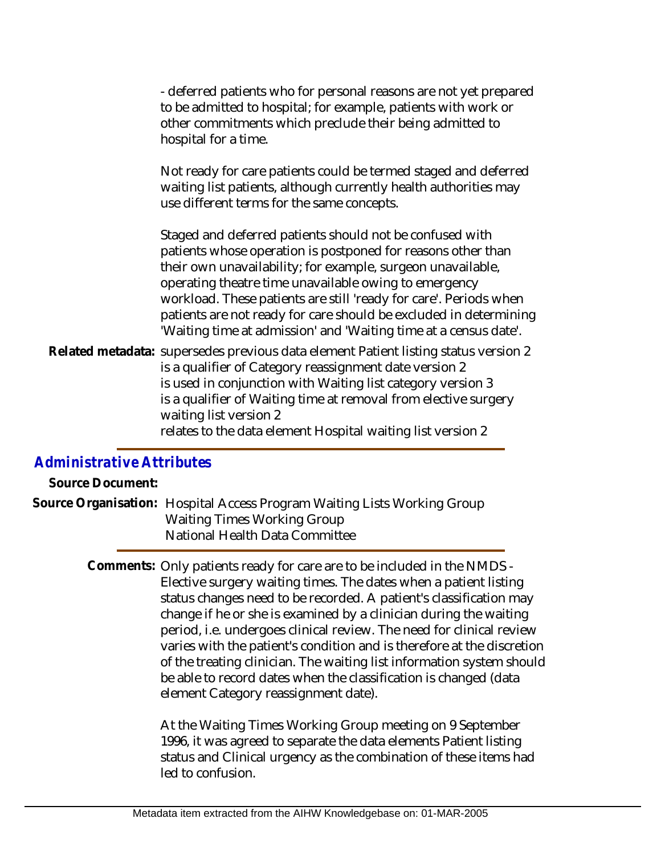- deferred patients who for personal reasons are not yet prepared to be admitted to hospital; for example, patients with work or other commitments which preclude their being admitted to hospital for a time.

Not ready for care patients could be termed staged and deferred waiting list patients, although currently health authorities may use different terms for the same concepts.

Staged and deferred patients should not be confused with patients whose operation is postponed for reasons other than their own unavailability; for example, surgeon unavailable, operating theatre time unavailable owing to emergency workload. These patients are still 'ready for care'. Periods when patients are not ready for care should be excluded in determining 'Waiting time at admission' and 'Waiting time at a census date'.

Related metadata: supersedes previous data element Patient listing status version 2 is a qualifier of Category reassignment date version 2 is used in conjunction with Waiting list category version 3 is a qualifier of Waiting time at removal from elective surgery waiting list version 2 relates to the data element Hospital waiting list version 2

## *Administrative Attributes*

**Source Document:**

Source Organisation: Hospital Access Program Waiting Lists Working Group Waiting Times Working Group National Health Data Committee

> Comments: Only patients ready for care are to be included in the NMDS -Elective surgery waiting times. The dates when a patient listing status changes need to be recorded. A patient's classification may change if he or she is examined by a clinician during the waiting period, i.e. undergoes clinical review. The need for clinical review varies with the patient's condition and is therefore at the discretion of the treating clinician. The waiting list information system should be able to record dates when the classification is changed (data element Category reassignment date).

> > At the Waiting Times Working Group meeting on 9 September 1996, it was agreed to separate the data elements Patient listing status and Clinical urgency as the combination of these items had led to confusion.